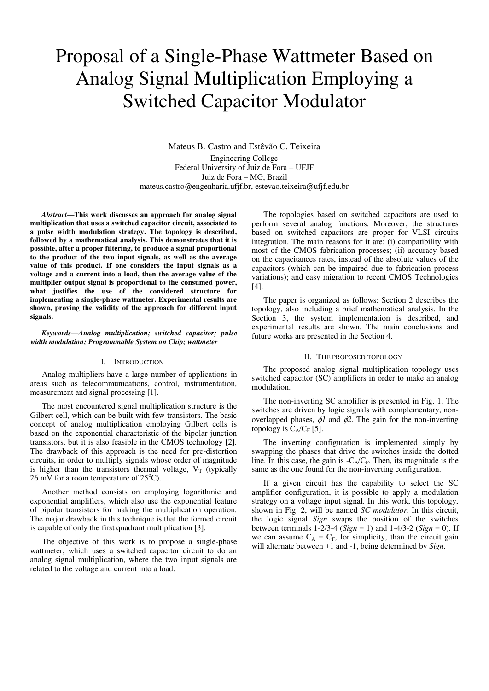# Proposal of a Single-Phase Wattmeter Based on Analog Signal Multiplication Employing a Switched Capacitor Modulator

Mateus B. Castro and Estêvão C. Teixeira Engineering College Federal University of Juiz de Fora – UFJF Juiz de Fora – MG, Brazil mateus.castro@engenharia.ufjf.br, estevao.teixeira@ufjf.edu.br

*Abstract***—This work discusses an approach for analog signal multiplication that uses a switched capacitor circuit, associated to a pulse width modulation strategy. The topology is described, followed by a mathematical analysis. This demonstrates that it is possible, after a proper filtering, to produce a signal proportional to the product of the two input signals, as well as the average value of this product. If one considers the input signals as a voltage and a current into a load, then the average value of the multiplier output signal is proportional to the consumed power, what justifies the use of the considered structure for implementing a single-phase wattmeter. Experimental results are shown, proving the validity of the approach for different input signals.** 

## *Keywords—Analog multiplication; switched capacitor; pulse width modulation; Programmable System on Chip; wattmeter*

## I. INTRODUCTION

Analog multipliers have a large number of applications in areas such as telecommunications, control, instrumentation, measurement and signal processing [1].

The most encountered signal multiplication structure is the Gilbert cell, which can be built with few transistors. The basic concept of analog multiplication employing Gilbert cells is based on the exponential characteristic of the bipolar junction transistors, but it is also feasible in the CMOS technology [2]. The drawback of this approach is the need for pre-distortion circuits, in order to multiply signals whose order of magnitude is higher than the transistors thermal voltage,  $V_T$  (typically 26 mV for a room temperature of  $25^{\circ}$ C).

Another method consists on employing logarithmic and exponential amplifiers, which also use the exponential feature of bipolar transistors for making the multiplication operation. The major drawback in this technique is that the formed circuit is capable of only the first quadrant multiplication [3].

The objective of this work is to propose a single-phase wattmeter, which uses a switched capacitor circuit to do an analog signal multiplication, where the two input signals are related to the voltage and current into a load.

The topologies based on switched capacitors are used to perform several analog functions. Moreover, the structures based on switched capacitors are proper for VLSI circuits integration. The main reasons for it are: (i) compatibility with most of the CMOS fabrication processes; (ii) accuracy based on the capacitances rates, instead of the absolute values of the capacitors (which can be impaired due to fabrication process variations); and easy migration to recent CMOS Technologies [4].

The paper is organized as follows: Section 2 describes the topology, also including a brief mathematical analysis. In the Section 3, the system implementation is described, and experimental results are shown. The main conclusions and future works are presented in the Section 4.

## II. THE PROPOSED TOPOLOGY

The proposed analog signal multiplication topology uses switched capacitor (SC) amplifiers in order to make an analog modulation.

The non-inverting SC amplifier is presented in Fig. 1. The switches are driven by logic signals with complementary, nonoverlapped phases,  $\phi l$  and  $\phi 2$ . The gain for the non-inverting topology is  $C_A/C_F$  [5].

The inverting configuration is implemented simply by swapping the phases that drive the switches inside the dotted line. In this case, the gain is  $-C_A/C_F$ . Then, its magnitude is the same as the one found for the non-inverting configuration.

If a given circuit has the capability to select the SC amplifier configuration, it is possible to apply a modulation strategy on a voltage input signal. In this work, this topology, shown in Fig. 2, will be named *SC modulator*. In this circuit, the logic signal *Sign* swaps the position of the switches between terminals 1-2/3-4 (*Sign* = 1) and 1-4/3-2 (*Sign* = 0). If we can assume  $C_A = C_F$ , for simplicity, than the circuit gain will alternate between +1 and -1, being determined by *Sign*.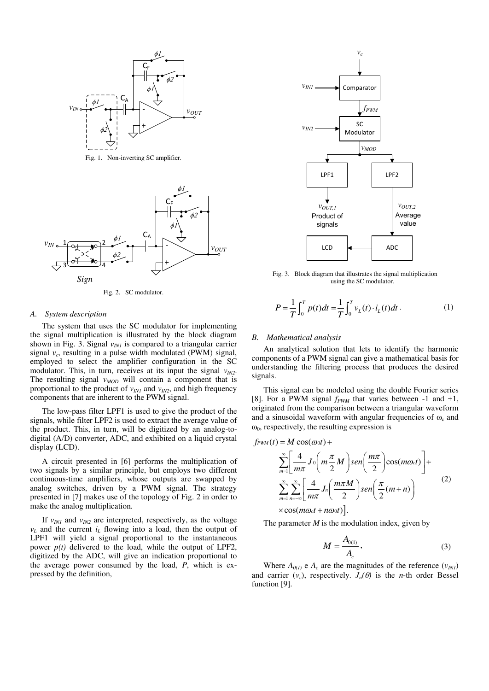

Fig. 1. Non-inverting SC amplifier.



Fig. 2. SC modulator.

#### *A. System description*

The system that uses the SC modulator for implementing the signal multiplication is illustrated by the block diagram shown in Fig. 3. Signal  $v_{INI}$  is compared to a triangular carrier signal  $v_c$ , resulting in a pulse width modulated (PWM) signal, employed to select the amplifier configuration in the SC modulator. This, in turn, receives at its input the signal  $v_{IN2}$ . The resulting signal *v<sub>MOD</sub>* will contain a component that is proportional to the product of  $v_{IN1}$  and  $v_{IN2}$ , and high frequency components that are inherent to the PWM signal.

The low-pass filter LPF1 is used to give the product of the signals, while filter LPF2 is used to extract the average value of the product. This, in turn, will be digitized by an analog-todigital (A/D) converter, ADC, and exhibited on a liquid crystal display (LCD).

A circuit presented in [6] performs the multiplication of two signals by a similar principle, but employs two different continuous-time amplifiers, whose outputs are swapped by analog switches, driven by a PWM signal. The strategy presented in [7] makes use of the topology of Fig. 2 in order to make the analog multiplication.

If  $v_{IN1}$  and  $v_{IN2}$  are interpreted, respectively, as the voltage  $v_L$  and the current  $i_L$  flowing into a load, then the output of LPF1 will yield a signal proportional to the instantaneous power *p(t)* delivered to the load, while the output of LPF2, digitized by the ADC, will give an indication proportional to the average power consumed by the load, *P*, which is expressed by the definition,



Fig. 3. Block diagram that illustrates the signal multiplication using the SC modulator.

$$
P = \frac{1}{T} \int_0^T p(t)dt = \frac{1}{T} \int_0^T v_L(t) \cdot i_L(t)dt.
$$
 (1)

#### *B. Mathematical analysis*

An analytical solution that lets to identify the harmonic components of a PWM signal can give a mathematical basis for understanding the filtering process that produces the desired signals.

This signal can be modeled using the double Fourier series [8]. For a PWM signal *fPWM* that varies between -1 and +1, originated from the comparison between a triangular waveform and a sinusoidal waveform with angular frequencies of  $\omega_c$  and  $\omega_0$ , respectively, the resulting expression is

$$
f_{\text{PWM}}(t) = M \cos(\omega_0 t) +
$$
\n
$$
\sum_{m=1}^{\infty} \left[ \frac{4}{m\pi} J_0 \left( m \frac{\pi}{2} M \right) \text{sen} \left( \frac{m\pi}{2} \right) \cos(m\omega_0 t) \right] +
$$
\n
$$
\sum_{m=1}^{\infty} \sum_{n=-\infty}^{\infty} \left[ \frac{4}{m\pi} J_n \left( \frac{m\pi M}{2} \right) \text{sen} \left( \frac{\pi}{2} (m+n) \right) \right]
$$
\n
$$
\times \cos(m\omega_0 t + n\omega_0 t) \Bigg].
$$
\n(2)

The parameter *M* is the modulation index, given by

$$
M = \frac{A_{0(1)}}{A_c},
$$
 (3)

Where  $A_{0(1)}$  e  $A_c$  are the magnitudes of the reference  $(v_{N1})$ and carrier  $(v_c)$ , respectively.  $J_n(\theta)$  is the *n*-th order Bessel function [9].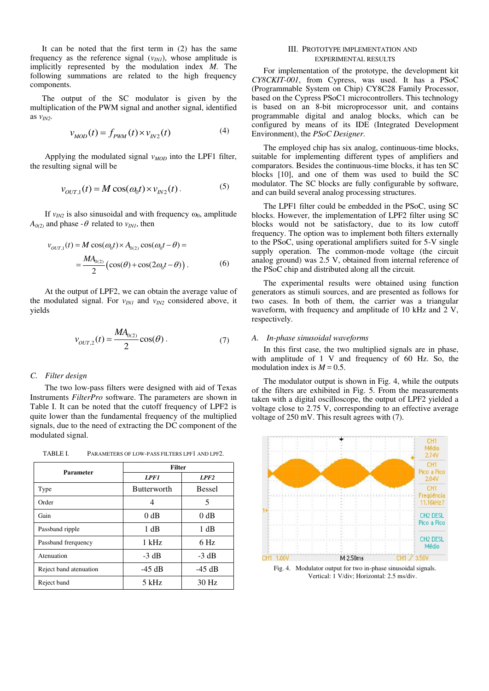It can be noted that the first term in (2) has the same frequency as the reference signal  $(v_{IN})$ , whose amplitude is implicitly represented by the modulation index *M*. The following summations are related to the high frequency components.

The output of the SC modulator is given by the multiplication of the PWM signal and another signal, identified as *vIN2*.

$$
v_{MOD}(t) = f_{PWM}(t) \times v_{IN2}(t) \tag{4}
$$

Applying the modulated signal *vMOD* into the LPF1 filter, the resulting signal will be

$$
v_{OUT,1}(t) = M\cos(\omega_0 t) \times v_{IN2}(t).
$$
 (5)

If  $v_{IN2}$  is also sinusoidal and with frequency  $\omega_0$ , amplitude  $A_{0(2)}$  and phase -  $\theta$  related to  $v_{INI}$ , then

$$
v_{OUT,1}(t) = M \cos(\omega_0 t) \times A_{0(2)} \cos(\omega_0 t - \theta) =
$$
  
= 
$$
\frac{M A_{0(2)}}{2} \left( \cos(\theta) + \cos(2\omega_0 t - \theta) \right).
$$
 (6)

At the output of LPF2, we can obtain the average value of the modulated signal. For  $v_{INI}$  and  $v_{IN2}$  considered above, it yields

$$
v_{OUT,2}(t) = \frac{MA_{0(2)}}{2}\cos(\theta). \tag{7}
$$

## *C. Filter design*

The two low-pass filters were designed with aid of Texas Instruments *FilterPro* software. The parameters are shown in Table I. It can be noted that the cutoff frequency of LPF2 is quite lower than the fundamental frequency of the multiplied signals, due to the need of extracting the DC component of the modulated signal.

TABLE I. PARAMETERS OF LOW-PASS FILTERS LPF1 AND LPF2.

| Parameter              | <b>Filter</b>      |               |
|------------------------|--------------------|---------------|
|                        | <b>LPF1</b>        | LPF2          |
| Type                   | <b>Butterworth</b> | <b>Bessel</b> |
| Order                  | 4                  | 5             |
| Gain                   | 0 dB               | 0 dB          |
| Passband ripple        | 1 dB               | 1 dB          |
| Passband frerquency    | $1$ kHz            | $6$ Hz        |
| Atenuation             | $-3 dB$            | $-3 dB$       |
| Reject band atenuation | $-45$ dB           | $-45$ dB      |
| Reject band            | 5 kHz              | 30 Hz         |

# III. PROTOTYPE IMPLEMENTATION AND EXPERIMENTAL RESULTS

For implementation of the prototype, the development kit *CY8CKIT-001*, from Cypress, was used. It has a PSoC (Programmable System on Chip) CY8C28 Family Processor, based on the Cypress PSoC1 microcontrollers. This technology is based on an 8-bit microprocessor unit, and contains programmable digital and analog blocks, which can be configured by means of its IDE (Integrated Development Environment), the *PSoC Designer*.

The employed chip has six analog, continuous-time blocks, suitable for implementing different types of amplifiers and comparators. Besides the continuous-time blocks, it has ten SC blocks [10], and one of them was used to build the SC modulator. The SC blocks are fully configurable by software, and can build several analog processing structures.

The LPF1 filter could be embedded in the PSoC, using SC blocks. However, the implementation of LPF2 filter using SC blocks would not be satisfactory, due to its low cutoff frequency. The option was to implement both filters externally to the PSoC, using operational amplifiers suited for 5-V single supply operation. The common-mode voltage (the circuit analog ground) was 2.5 V, obtained from internal reference of the PSoC chip and distributed along all the circuit.

The experimental results were obtained using function generators as stimuli sources, and are presented as follows for two cases. In both of them, the carrier was a triangular waveform, with frequency and amplitude of 10 kHz and 2 V, respectively.

## *A. In-phase sinusoidal waveforms*

In this first case, the two multiplied signals are in phase, with amplitude of 1 V and frequency of 60 Hz. So, the modulation index is  $M = 0.5$ .

The modulator output is shown in Fig. 4, while the outputs of the filters are exhibited in Fig. 5. From the measurements taken with a digital oscilloscope, the output of LPF2 yielded a voltage close to 2.75 V, corresponding to an effective average voltage of 250 mV. This result agrees with (7).



Vertical: 1 V/div; Horizontal: 2.5 ms/div.